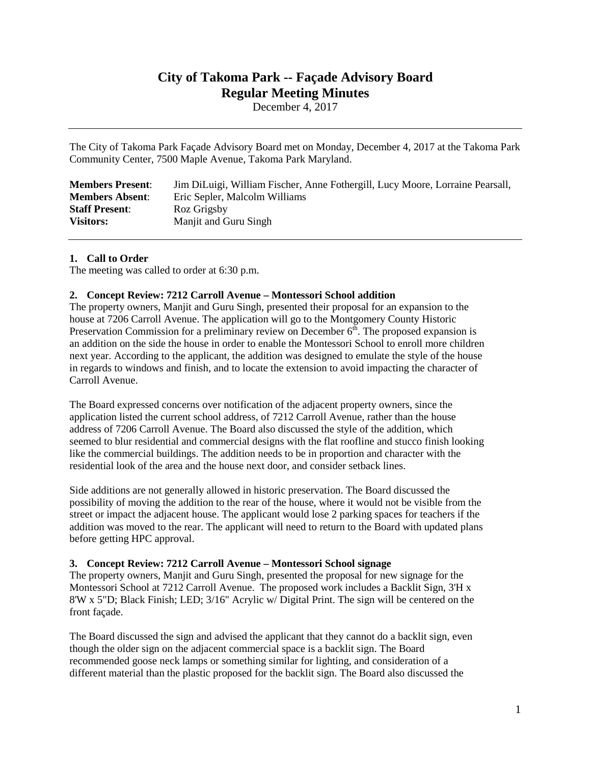# **City of Takoma Park -- Façade Advisory Board Regular Meeting Minutes**

December 4, 2017

The City of Takoma Park Façade Advisory Board met on Monday, December 4, 2017 at the Takoma Park Community Center, 7500 Maple Avenue, Takoma Park Maryland.

| <b>Members Present:</b> | Jim DiLuigi, William Fischer, Anne Fothergill, Lucy Moore, Lorraine Pearsall, |
|-------------------------|-------------------------------------------------------------------------------|
| <b>Members Absent:</b>  | Eric Sepler, Malcolm Williams                                                 |
| <b>Staff Present:</b>   | Roz Grigsby                                                                   |
| <b>Visitors:</b>        | Manjit and Guru Singh                                                         |

# **1. Call to Order**

The meeting was called to order at 6:30 p.m.

# **2. Concept Review: 7212 Carroll Avenue – Montessori School addition**

The property owners, Manjit and Guru Singh, presented their proposal for an expansion to the house at 7206 Carroll Avenue. The application will go to the Montgomery County Historic Preservation Commission for a preliminary review on December  $6<sup>th</sup>$ . The proposed expansion is an addition on the side the house in order to enable the Montessori School to enroll more children next year. According to the applicant, the addition was designed to emulate the style of the house in regards to windows and finish, and to locate the extension to avoid impacting the character of Carroll Avenue.

The Board expressed concerns over notification of the adjacent property owners, since the application listed the current school address, of 7212 Carroll Avenue, rather than the house address of 7206 Carroll Avenue. The Board also discussed the style of the addition, which seemed to blur residential and commercial designs with the flat roofline and stucco finish looking like the commercial buildings. The addition needs to be in proportion and character with the residential look of the area and the house next door, and consider setback lines.

Side additions are not generally allowed in historic preservation. The Board discussed the possibility of moving the addition to the rear of the house, where it would not be visible from the street or impact the adjacent house. The applicant would lose 2 parking spaces for teachers if the addition was moved to the rear. The applicant will need to return to the Board with updated plans before getting HPC approval.

## **3. Concept Review: 7212 Carroll Avenue – Montessori School signage**

The property owners, Manjit and Guru Singh, presented the proposal for new signage for the Montessori School at 7212 Carroll Avenue. The proposed work includes a Backlit Sign, 3'H x 8'W x 5"D; Black Finish; LED; 3/16" Acrylic w/ Digital Print. The sign will be centered on the front façade.

The Board discussed the sign and advised the applicant that they cannot do a backlit sign, even though the older sign on the adjacent commercial space is a backlit sign. The Board recommended goose neck lamps or something similar for lighting, and consideration of a different material than the plastic proposed for the backlit sign. The Board also discussed the